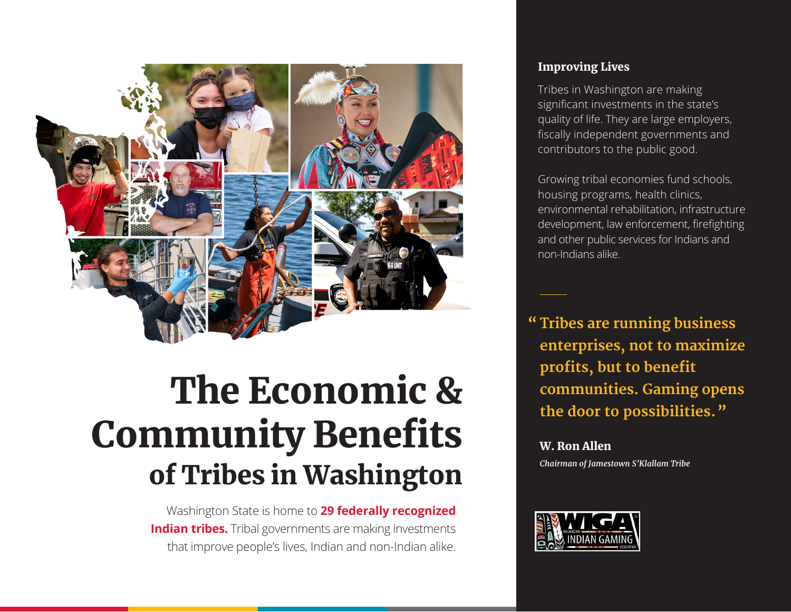

# The Economic & Community Benefits of Tribes in Washington

Washington State is home to **29 federally recognized Indian tribes.** Tribal governments are making investments that improve people's lives, Indian and non-Indian alike.

#### Improving Lives

Tribes in Washington are making significant investments in the state's quality of life. They are large employers, fiscally independent governments and contributors to the public good.

Growing tribal economies fund schools, housing programs, health clinics, environmental rehabilitation, infrastructure development, law enforcement, firefighting and other public services for Indians and non-Indians alike.

**Tribes are running business "enterprises, not to maximize profits, but to benefit communities. Gaming opens the door to possibilities."**

W. Ron Allen *Chairman of Jamestown S'Klallam Tribe*